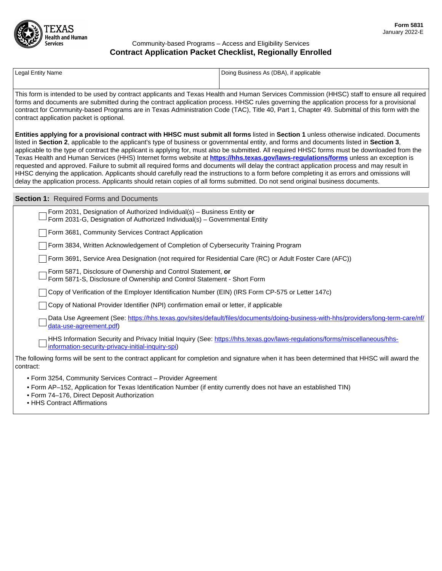

## Community-based Programs – Access and Eligibility Services **Contract Application Packet Checklist, Regionally Enrolled**

| <b>Legal Entity Name</b>                                                                                                                                                                                                                                                                                                                                                                                                                                                                                                                                                                                                                                                                                                                                                                                                                                                                                                                                                                                        | Doing Business As (DBA), if applicable                                                                                            |
|-----------------------------------------------------------------------------------------------------------------------------------------------------------------------------------------------------------------------------------------------------------------------------------------------------------------------------------------------------------------------------------------------------------------------------------------------------------------------------------------------------------------------------------------------------------------------------------------------------------------------------------------------------------------------------------------------------------------------------------------------------------------------------------------------------------------------------------------------------------------------------------------------------------------------------------------------------------------------------------------------------------------|-----------------------------------------------------------------------------------------------------------------------------------|
|                                                                                                                                                                                                                                                                                                                                                                                                                                                                                                                                                                                                                                                                                                                                                                                                                                                                                                                                                                                                                 |                                                                                                                                   |
| This form is intended to be used by contract applicants and Texas Health and Human Services Commission (HHSC) staff to ensure all required<br>forms and documents are submitted during the contract application process. HHSC rules governing the application process for a provisional<br>contract for Community-based Programs are in Texas Administration Code (TAC), Title 40, Part 1, Chapter 49. Submittal of this form with the<br>contract application packet is optional.                                                                                                                                                                                                                                                                                                                                                                                                                                                                                                                              |                                                                                                                                   |
| Entities applying for a provisional contract with HHSC must submit all forms listed in Section 1 unless otherwise indicated. Documents<br>listed in Section 2, applicable to the applicant's type of business or governmental entity, and forms and documents listed in Section 3,<br>applicable to the type of contract the applicant is applying for, must also be submitted. All required HHSC forms must be downloaded from the<br>Texas Health and Human Services (HHS) Internet forms website at <b>https://hhs.texas.gov/laws-regulations/forms</b> unless an exception is<br>requested and approved. Failure to submit all required forms and documents will delay the contract application process and may result in<br>HHSC denying the application. Applicants should carefully read the instructions to a form before completing it as errors and omissions will<br>delay the application process. Applicants should retain copies of all forms submitted. Do not send original business documents. |                                                                                                                                   |
| <b>Section 1: Required Forms and Documents</b>                                                                                                                                                                                                                                                                                                                                                                                                                                                                                                                                                                                                                                                                                                                                                                                                                                                                                                                                                                  |                                                                                                                                   |
| Form 2031, Designation of Authorized Individual(s) - Business Entity or<br>Form 2031-G, Designation of Authorized Individual(s) - Governmental Entity                                                                                                                                                                                                                                                                                                                                                                                                                                                                                                                                                                                                                                                                                                                                                                                                                                                           |                                                                                                                                   |
| Form 3681, Community Services Contract Application                                                                                                                                                                                                                                                                                                                                                                                                                                                                                                                                                                                                                                                                                                                                                                                                                                                                                                                                                              |                                                                                                                                   |
| Form 3834, Written Acknowledgement of Completion of Cybersecurity Training Program                                                                                                                                                                                                                                                                                                                                                                                                                                                                                                                                                                                                                                                                                                                                                                                                                                                                                                                              |                                                                                                                                   |
| Form 3691, Service Area Designation (not required for Residential Care (RC) or Adult Foster Care (AFC))                                                                                                                                                                                                                                                                                                                                                                                                                                                                                                                                                                                                                                                                                                                                                                                                                                                                                                         |                                                                                                                                   |
| Form 5871, Disclosure of Ownership and Control Statement, or<br>Form 5871-S, Disclosure of Ownership and Control Statement - Short Form                                                                                                                                                                                                                                                                                                                                                                                                                                                                                                                                                                                                                                                                                                                                                                                                                                                                         |                                                                                                                                   |
| Copy of Verification of the Employer Identification Number (EIN) (IRS Form CP-575 or Letter 147c)                                                                                                                                                                                                                                                                                                                                                                                                                                                                                                                                                                                                                                                                                                                                                                                                                                                                                                               |                                                                                                                                   |
| Copy of National Provider Identifier (NPI) confirmation email or letter, if applicable                                                                                                                                                                                                                                                                                                                                                                                                                                                                                                                                                                                                                                                                                                                                                                                                                                                                                                                          |                                                                                                                                   |
| data-use-agreement.pdf)                                                                                                                                                                                                                                                                                                                                                                                                                                                                                                                                                                                                                                                                                                                                                                                                                                                                                                                                                                                         | Data Use Agreement (See: https://hhs.texas.gov/sites/default/files/documents/doing-business-with-hhs/providers/long-term-care/nf/ |
| information-security-privacy-initial-inquiry-spi)                                                                                                                                                                                                                                                                                                                                                                                                                                                                                                                                                                                                                                                                                                                                                                                                                                                                                                                                                               | HHS Information Security and Privacy Initial Inquiry (See: https://hhs.texas.gov/laws-regulations/forms/miscellaneous/hhs-        |
| The following forms will be sent to the contract applicant for completion and signature when it has been determined that HHSC will award the<br>contract:                                                                                                                                                                                                                                                                                                                                                                                                                                                                                                                                                                                                                                                                                                                                                                                                                                                       |                                                                                                                                   |
| • Form 3254, Community Services Contract - Provider Agreement                                                                                                                                                                                                                                                                                                                                                                                                                                                                                                                                                                                                                                                                                                                                                                                                                                                                                                                                                   |                                                                                                                                   |

- Form AP–152, Application for Texas Identification Number (if entity currently does not have an established TIN)
- Form 74–176, Direct Deposit Authorization
- HHS Contract Affirmations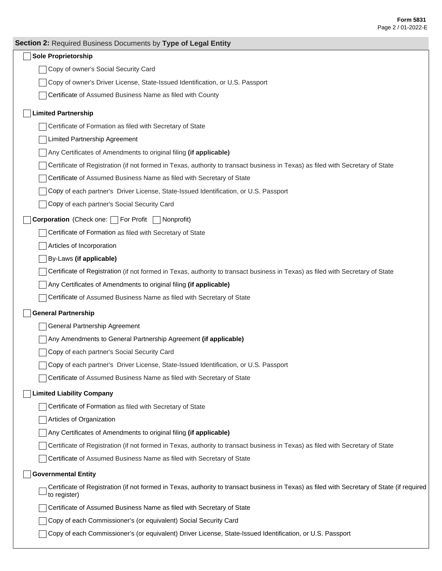| Section 2: Required Business Documents by Type of Legal Entity                                                                                              |
|-------------------------------------------------------------------------------------------------------------------------------------------------------------|
| <b>Sole Proprietorship</b>                                                                                                                                  |
| Copy of owner's Social Security Card                                                                                                                        |
| Copy of owner's Driver License, State-Issued Identification, or U.S. Passport                                                                               |
| Certificate of Assumed Business Name as filed with County                                                                                                   |
| <b>Limited Partnership</b>                                                                                                                                  |
| Certificate of Formation as filed with Secretary of State                                                                                                   |
| Limited Partnership Agreement                                                                                                                               |
| Any Certificates of Amendments to original filing (if applicable)                                                                                           |
| Certificate of Registration (if not formed in Texas, authority to transact business in Texas) as filed with Secretary of State                              |
| Certificate of Assumed Business Name as filed with Secretary of State                                                                                       |
| Copy of each partner's Driver License, State-Issued Identification, or U.S. Passport                                                                        |
| Copy of each partner's Social Security Card                                                                                                                 |
| <b>Corporation</b> (Check one: For Profit<br>  Nonprofit)                                                                                                   |
| Certificate of Formation as filed with Secretary of State                                                                                                   |
| Articles of Incorporation                                                                                                                                   |
| By-Laws (if applicable)                                                                                                                                     |
| Certificate of Registration (if not formed in Texas, authority to transact business in Texas) as filed with Secretary of State                              |
| Any Certificates of Amendments to original filing (if applicable)                                                                                           |
| Certificate of Assumed Business Name as filed with Secretary of State                                                                                       |
| <b>General Partnership</b>                                                                                                                                  |
| General Partnership Agreement                                                                                                                               |
| Any Amendments to General Partnership Agreement (if applicable)                                                                                             |
| Copy of each partner's Social Security Card                                                                                                                 |
| Copy of each partner's Driver License, State-Issued Identification, or U.S. Passport                                                                        |
| Certificate of Assumed Business Name as filed with Secretary of State                                                                                       |
| <b>Limited Liability Company</b>                                                                                                                            |
| Certificate of Formation as filed with Secretary of State                                                                                                   |
| Articles of Organization                                                                                                                                    |
| Any Certificates of Amendments to original filing (if applicable)                                                                                           |
| Certificate of Registration (if not formed in Texas, authority to transact business in Texas) as filed with Secretary of State                              |
| Certificate of Assumed Business Name as filed with Secretary of State                                                                                       |
| <b>Governmental Entity</b>                                                                                                                                  |
| Certificate of Registration (if not formed in Texas, authority to transact business in Texas) as filed with Secretary of State (if required<br>to register) |
| Certificate of Assumed Business Name as filed with Secretary of State                                                                                       |
| Copy of each Commissioner's (or equivalent) Social Security Card                                                                                            |

Copy of each Commissioner's (or equivalent) Driver License, State-Issued Identification, or U.S. Passport